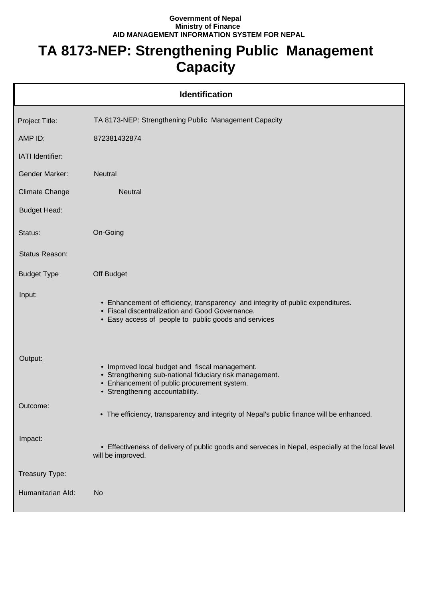## **Government of Nepal Ministry of Finance AID MANAGEMENT INFORMATION SYSTEM FOR NEPAL**

## **TA 8173-NEP: Strengthening Public Management Capacity**

| <b>Identification</b> |                                                                                                                                                                                             |  |
|-----------------------|---------------------------------------------------------------------------------------------------------------------------------------------------------------------------------------------|--|
| Project Title:        | TA 8173-NEP: Strengthening Public Management Capacity                                                                                                                                       |  |
| AMP ID:               | 872381432874                                                                                                                                                                                |  |
| IATI Identifier:      |                                                                                                                                                                                             |  |
| <b>Gender Marker:</b> | <b>Neutral</b>                                                                                                                                                                              |  |
| <b>Climate Change</b> | <b>Neutral</b>                                                                                                                                                                              |  |
| <b>Budget Head:</b>   |                                                                                                                                                                                             |  |
| Status:               | On-Going                                                                                                                                                                                    |  |
| Status Reason:        |                                                                                                                                                                                             |  |
| <b>Budget Type</b>    | Off Budget                                                                                                                                                                                  |  |
| Input:                | • Enhancement of efficiency, transparency and integrity of public expenditures.<br>• Fiscal discentralization and Good Governance.<br>• Easy access of people to public goods and services  |  |
| Output:               | • Improved local budget and fiscal management.<br>• Strengthening sub-national fiduciary risk management.<br>• Enhancement of public procurement system.<br>• Strengthening accountability. |  |
| Outcome:              | • The efficiency, transparency and integrity of Nepal's public finance will be enhanced.                                                                                                    |  |
| Impact:               | • Effectiveness of delivery of public goods and serveces in Nepal, especially at the local level<br>will be improved.                                                                       |  |
| Treasury Type:        |                                                                                                                                                                                             |  |
| Humanitarian Ald:     | <b>No</b>                                                                                                                                                                                   |  |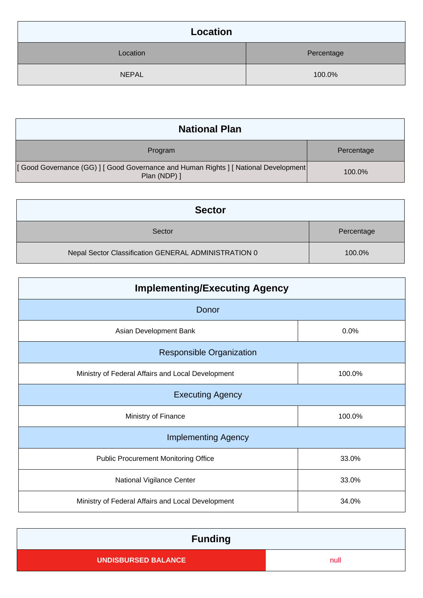| Location     |            |
|--------------|------------|
| Location     | Percentage |
| <b>NEPAL</b> | 100.0%     |

| <b>National Plan</b>                                                                              |            |
|---------------------------------------------------------------------------------------------------|------------|
| Program                                                                                           | Percentage |
| [Good Governance (GG)] [Good Governance and Human Rights ] [National Development]<br>Plan (NDP) ] | $100.0\%$  |

| <b>Sector</b>                                        |            |
|------------------------------------------------------|------------|
| Sector                                               | Percentage |
| Nepal Sector Classification GENERAL ADMINISTRATION 0 | 100.0%     |

| <b>Implementing/Executing Agency</b>              |        |  |
|---------------------------------------------------|--------|--|
| Donor                                             |        |  |
| Asian Development Bank                            | 0.0%   |  |
| <b>Responsible Organization</b>                   |        |  |
| Ministry of Federal Affairs and Local Development | 100.0% |  |
| <b>Executing Agency</b>                           |        |  |
| Ministry of Finance                               | 100.0% |  |
| <b>Implementing Agency</b>                        |        |  |
| <b>Public Procurement Monitoring Office</b>       | 33.0%  |  |
| National Vigilance Center                         | 33.0%  |  |
| Ministry of Federal Affairs and Local Development | 34.0%  |  |

| <b>Funding</b>      |      |
|---------------------|------|
| UNDISBURSED BALANCE | null |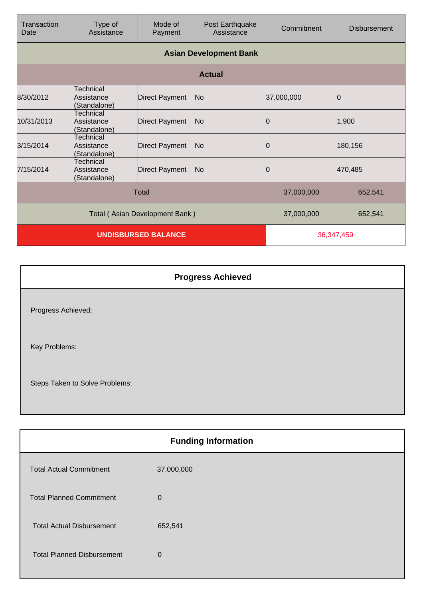| Transaction<br>Date            | Type of<br>Assistance                   | Mode of<br>Payment    | Post Earthquake<br>Assistance | Commitment | <b>Disbursement</b> |
|--------------------------------|-----------------------------------------|-----------------------|-------------------------------|------------|---------------------|
|                                | <b>Asian Development Bank</b>           |                       |                               |            |                     |
|                                |                                         |                       | <b>Actual</b>                 |            |                     |
| 8/30/2012                      | Technical<br>Assistance<br>(Standalone) | <b>Direct Payment</b> | No.                           | 37,000,000 |                     |
| 10/31/2013                     | Technical<br>Assistance<br>(Standalone) | <b>Direct Payment</b> | No                            | Ю          | 1,900               |
| 3/15/2014                      | Technical<br>Assistance<br>(Standalone) | <b>Direct Payment</b> | No                            | Ю          | 180,156             |
| 7/15/2014                      | Technical<br>Assistance<br>(Standalone) | <b>Direct Payment</b> | No                            | Ю          | 470,485             |
| Total                          |                                         |                       | 37,000,000                    | 652,541    |                     |
| Total (Asian Development Bank) |                                         |                       | 37,000,000                    | 652,541    |                     |
| <b>UNDISBURSED BALANCE</b>     |                                         |                       | 36,347,459                    |            |                     |

| <b>Progress Achieved</b>       |  |
|--------------------------------|--|
| Progress Achieved:             |  |
| Key Problems:                  |  |
| Steps Taken to Solve Problems: |  |

| <b>Funding Information</b>        |                |  |
|-----------------------------------|----------------|--|
| <b>Total Actual Commitment</b>    | 37,000,000     |  |
| <b>Total Planned Commitment</b>   | $\overline{0}$ |  |
| <b>Total Actual Disbursement</b>  | 652,541        |  |
| <b>Total Planned Disbursement</b> | $\Omega$       |  |